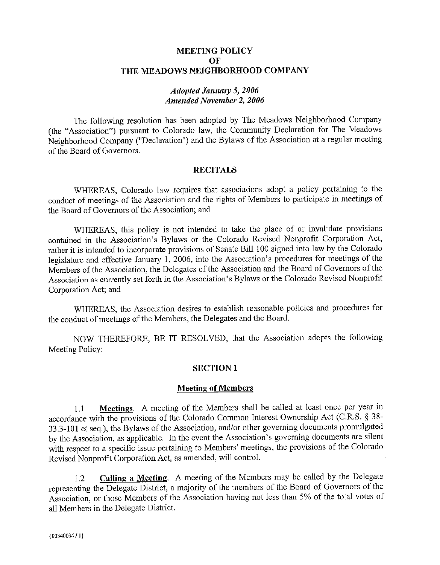## **MEETING POLICY OF**  THE MEADOWS NEIGHBORHOOD COMPANY

### *Adopted January* **5,** *2006 Amended November 2, 2006*

The following resolution has been adopted by The Meadows Neighborhood Company (the "Association") pursuant to Colorado law, the Community Declaration for The Meadows Neighborhood Company ("Declaration") and the Bylaws of the Association at a regular meeting of the Board of Governors.

## **RECITALS**

WHEREAS, Colorado law requires that associations adopt a policy pertaining to the conduct of meetings of the Association and the rights of Members to participate in meetings of the Board of Governors of the Association; and

WHEREAS, this policy is not intended to take the place of or invalidate provisions contained in the Association's Bylaws or the Colorado Revised Nonprofit Corporation Act, rather it is intended to incorporate provisions of Senate Bill 100 signed into law by the Colorado legislature and effective January 1, 2006, into the Association's procedures for meetings of the Members of the Association, the Delegates of the Association and the Board of Governors of the Association as currently set forth in the Association's Bylaws or the Colorado Revised Nonprofit Corporation Act; and

WHEREAS, the Association desires to establish reasonable policies and procedures for the conduct of meetings of the Members, the Delegates and the Board.

NOW THEREFORE, BE IT RESOLVED, that the Association adopts the following Meeting Policy:

## **SECTION 1**

## **Meeting of Members**

1.1 **Meetings.** A meeting of the Members shall be called at least once per year in accordance with the provisions of the Colorado Common Interest Ownership Act (C.R.S. § 38- 33.3-101 et seq.), the Bylaws of the Association, and/or other governing documents promulgated by the Association, as applicable. In the event the Association's governing documents are silent with respect to a specific issue pertaining to Members' meetings, the provisions of the Colorado Revised Nonprofit Corporation Act, as amended, will control.

1.2 **Calling a Meeting.** A meeting of the Members may be called by the Delegate representing the Delegate District, a majority of the members of the Board of Governors of the Association, or those Members of the Association having not less than 5% of the total votes of all Members in the Delegate District.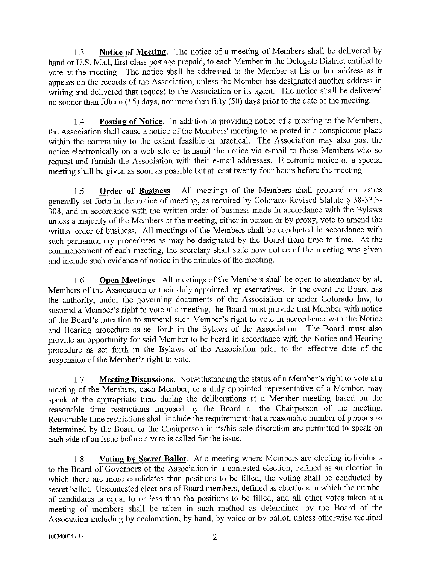1.3 **Notice of Meeting.** The notice of a meeting of Members shall be delivered by hand or U.S. Mail, first class postage prepaid, to each Member in the Delegate District entitled to vote at the meeting. The notice shall be addressed to the Member at his or her address as it appears on the records of the Association, unless the Member has designated another address in writing and delivered that request to the Association or its agent. The notice shall be delivered no sooner than fifteen (15) days, nor more than fifty (50) days prior to the date of the meeting.

1.4 **Posting of Notice.** In addition to providing notice of a meeting to the Members, the Association shall cause a notice of the Members' meeting to be posted in a conspicuous place within the community to the extent feasible or practical. The Association may also post the notice electronically on a web site or transmit the notice via e-mail to those Members who so request and furnish the Association with their e-mail addresses. Electronic notice of a special meeting shall be given as soon as possible but at least twenty-four hours before the meeting.

1.5 **Order of Business.** All meetings of the Members shall proceed on issues generally set forth in the notice of meeting, as required by Colorado Revised Statute § 38-33.3- 308, and in accordance with the written order of business made in accordance with the Bylaws unless a majority of the Members at the meeting, either in person or by proxy, vote to amend the written order of business. All meetings of the Members shall be conducted in accordance with such parliamentary procedures as may be designated by the Board from time to time. At the commencement of each meeting, the secretary shall state how notice of the meeting was given and include such evidence of notice in the minutes of the meeting.

1.6 **Open Meetings.** All meetings of the Members shall be open to attendance by all Members of the Association or their duly appointed representatives. In the event the Board has the authority, under the governing documents of the Association or under Colorado law, to suspend a Member's right to vote at a meeting, the Board must provide that Member with notice of the Board's intention to suspend such Member's right to vote in accordance with the Notice and Hearing procedure as set forth in the Bylaws of the Association. The Board must also provide an opportunity for said Member to be heard in accordance with the Notice and Hearing procedure as set forth in the Bylaws of the Association prior to the effective date of the suspension of the Member's right to vote.

1.7 **Meeting Discussions.** Notwithstanding the status of a Member's right to vote at a meeting of the Members, each Member, or a duly appointed representative of a Member, may speak at the appropriate time during the deliberations at a Member meeting based on the reasonable time restrictions imposed by the Board or the Chairperson of the meeting. Reasonable time restrictions shall include the requirement that a reasonable number of persons as determined by the Board or the Chairperson in its/his sole discretion are permitted to speak on each side of an issue before a vote is called for the issue.

1.8 **Voting by Secret Ballot.** At a meeting where Members are electing individuals to the Board of Governors of the Association in a contested election, defined as an election in which there are more candidates than positions to be filled, the voting shall be conducted by secret ballot. Uncontested elections of Board members, defined as elections in which the number of candidates is equal to or less than the positions to be filled, and all other votes taken at a meeting of members shall be taken in such method as detennined by the Board of the Association including by acclamation, by hand, by voice or by ballot, unless otherwise required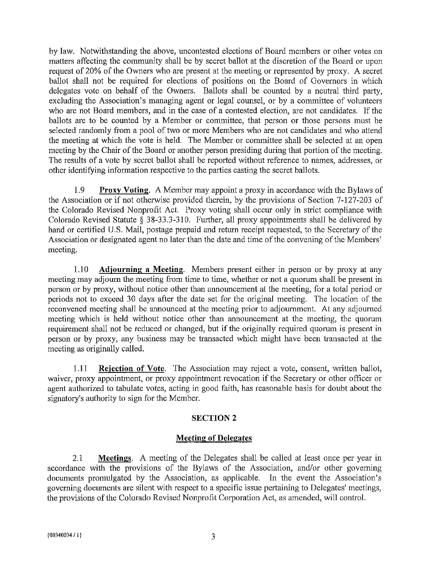by law. Notwithstanding the above, uncontested elections of Board members or other votes on matters affecting the community shall be by secret ballot at the discretion of the Board or upon request of 20% of the Owners who are present at the meeting or represented by proxy. A secret ballot shall not be required for elections of positions on the Board of Governors in which delegates vote on behalf of the Owners. Ballots shall be counted by a neutral third patty, excluding the Association's managing agent or legal counsel, or by a committee of volunteers who are not Board members, and in the case of a contested election, are not candidates. If the ballots are to be counted by a Member or committee, that person or those persons must be selected randomly from a pool of two or more Members who are not candidates and who attend the meeting at which the vote is held. The Member or committee shall be selected at an open meeting by the Chair of the Board or another person presiding during that portion of the meeting. The results of a vote by secret ballot shall be reported without reference to names, addresses, or other identifying information respective to the parties casting the secret ballots.

1.9 **Proxy Voting.** A Member may appoint a proxy in accordance with the Bylaws of the Association or if not otherwise provided therein, by the provisions of Section 7-127-203 of the Colorado Revised Nonprofit Act. Proxy voting shall occur only in strict compliance with Colorado Revised Statute § 38-33.3-310. Further, all proxy appointments shall be delivered by hand or certified U.S. Mail, postage prepaid and return receipt requested, to the Secretary of the Association or designated agent no later than the date and time of the convening of the Members' meeting.

I.IO **Adjourning a Meeting.** Members present either in person or by proxy at any meeting may adjourn the meeting from time to time, whether or not a quorum shall be present in person or by proxy, without notice other than announcement at the meeting, for a total period or periods not to exceed 30 days after the date set for the original meeting. The location of the reconvened meeting shall be annonnced at the meeting prior to adjournment. At any adjourned meeting which is held without notice other than announcement at the meeting, the quorum requirement shall not be reduced or changed, but if the originally required quorum is present in person or by proxy, any business may be transacted which might have been transacted at the meeting as originally called.

I.II **Rejection of Vote.** The Association may reject a vote, consent, written ballot, waiver, proxy appointment, or proxy appointment revocation if the Secretary or other officer or agent authorized to tabulate votes, acting in good faith, has reasonable basis for doubt about the signatory's authority to sign for the Member.

## **SECTION2**

#### **Meeting of Delegates**

2.1 **Meetings.** A meeting of the Delegates shall be called at least once per year in accordance with the provisions of the Bylaws of the Association, and/or other governing documents promulgated by the Association, as applicable. In the event the Association's governing documents are silent with respect to a specific issue pertaining to Delegates' meetings, the provisions of the Colorado Revised Nonprofit Corporation Act, as amended, will control.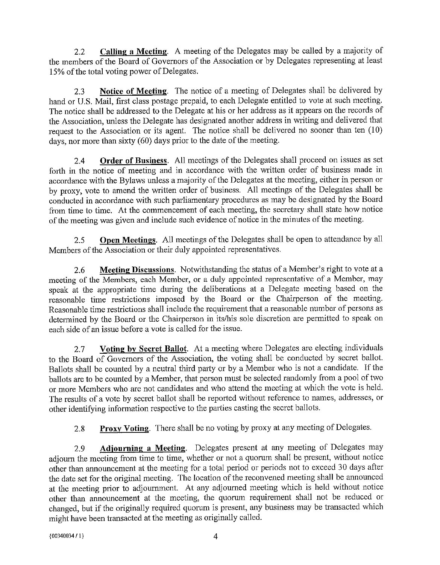2.2 **Calling a Meeting.** A meeting of the Delegates may be called by a majority of the members of the Board of Governors of the Association or by Delegates representing at least 15% of the total voting power of Delegates.

2.3 **Notice of Meeting.** The notice of a meeting of Delegates shall be delivered by hand or U.S. Mail, first class postage prepaid, to each Delegate entitled to vote at such meeting. The notice shall be addressed to the Delegate at his or her address as it appears on the records of the Association, unless the Delegate has designated another address in writing and delivered that request to the Association or its agent. The notice shall be delivered no sooner than ten (10) days, nor more than sixty (60) days prior to the date of the meeting.

2.4 **Order of Business.** All meetings of the Delegates shall proceed on issues as set forth in the notice of meeting and in accordance with the written order of business made in accordance with the Bylaws unless a majority of the Delegates at the meeting, either in person or by proxy, vote to amend the written order of business. All meetings of the Delegates shall be conducted in accordance with such parliamentary procedures as may be designated by the Board from time to time. At the commencement of each meeting, the secretary shall state how notice of the meeting was given and include such evidence of notice in the minutes of the meeting.

2.5 **Open Meetings.** All meetings of the Delegates shall be open to attendance by all Members of the Association or their duly appointed representatives.

2.6 **Meeting Discussions.** Notwithstanding the status of a Member's right to vote at a meeting of the Members, each Member, or a duly appointed representative of a Member, may speak at the appropriate time during the deliberations at a Delegate meeting based on the reasonable time restrictions imposed by the Board or the Chairperson of the meeting. Reasonable time restrictions shall include the requirement that a reasonable number of persons as determined by the Board or the Chairperson in its/his sole discretion are permitted to speak on each side of an issue before a vote is called for the issue.

2.7 **Voting by Secret Ballot.** At a meeting where Delegates are electing individuals to the Board of Governors of the Association, the voting shall be conducted by secret ballot. Ballots shall be counted by a neutral third party or by a Member who is not a candidate. If the ballots are to be counted by a Member, that person must be selected randomly from a pool of two or more Members who are not candidates and who attend the meeting at which the vote is held. The results of a vote by secret ballot shall be reported without reference to names, addresses, or other identifying information respective to the patties casting the secret ballots.

2.8 **Proxy Voting.** There shall be no voting by proxy at any meeting of Delegates.

2.9 **Adjourning a Meeting.** Delegates present at any meeting of Delegates may adjourn the meeting from time to time, whether or not a quorum shall be present, without notice other than announcement at the meeting for a total period or periods not to exceed 30 days after the date set for the original meeting. The location of the reconvened meeting shall be announced at the meeting prior to adjournment. At any adjourned meeting which is held without notice other than announcement at the meeting, the quorum requirement shall not be reduced or changed, but if the originally required quorum is present, any business may be transacted which might have been transacted at the meeting as originally called.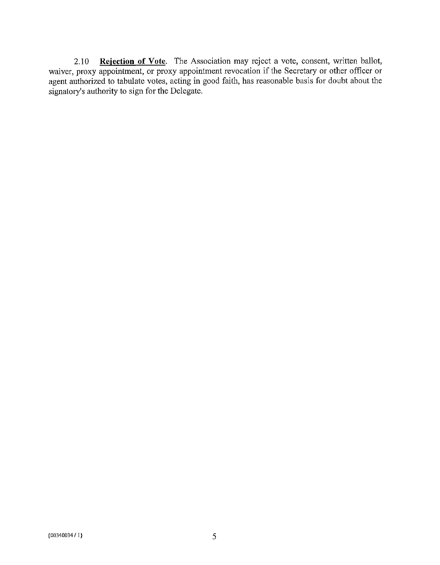2.10 **Rejection of Vote.** The Association may reject a vote, consent, written ballot, waiver, proxy appointment, or proxy appointment revocation if the Secretary or other officer or agent authorized to tabulate votes, acting in good faith, has reasonable basis for doubt about the signatory's authority to sign for the Delegate.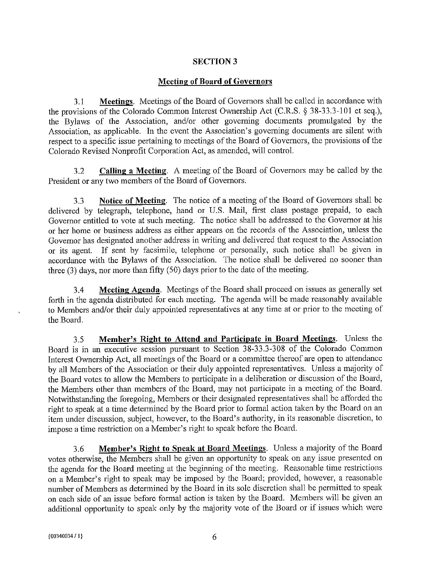# **SECTION3**

# **Meeting of Board of Governors**

3.1 **Meetings.** Meetings of the Board of Governors shall be called in accordance with the provisions of the Colorado Common Interest Ownership Act (C.R.S. § 38-33.3-101 et seq.), the Bylaws of the Association, and/or other governing documents promulgated by the Association, as applicable. In the event the Association's governing documents are silent with respect to a specific issue pertaining to meetings of the Board of Governors, the provisions of the Colorado Revised Nonprofit Corporation Act, as amended, will control.

3.2 **Calling a Meeting.** A meeting of the Board of Governors may be called by the President or any two members of the Board of Governors.

3.3 **Notice of Meeting.** The notice of a meeting of the Board of Governors shall be delivered by telegraph, telephone, hand or U.S. Mail, first class postage prepaid, to each Governor entitled to vote at such meeting. The notice shall be addressed to the Governor at his or her home or business address as either appears on the records of the Association, unless the Governor has designated another address in writing and delivered that request to the Association or its agent. If sent by facsimile, telephone or personally, such notice shall be given in accordance with the Bylaws of the Association. The notice shall be delivered no sooner than three (3) days, nor more than fifty (50) days prior to the date of the meeting.

3.4 **Meeting Agenda.** Meetings of the Board shall proceed on issues as generally set forth in the agenda distributed for each meeting. The agenda will be made reasonably available to Members and/or their duly appointed representatives at any time at or prior to the meeting of the Board.

3.5 **Member's Right to Attend and Participate in Board Meetings.** Unless the Board is in an executive session pursuant to Section  $38-33.3-308$  of the Colorado Common Interest Ownership Act, all meetings of the Board or a committee thereof are open to attendance by all Members of the Association or their duly appointed representatives. Unless a majority of the Board votes to allow the Members to participate in a deliberation or discussion of the Board, the Members other than members of the Board, may not participate in a meeting of the Board. Notwithstanding the foregoing, Members or their designated representatives shall be afforded the right to speak at a time determined by the Board prior to formal action taken by the Board on an item under discussion, subject, however, to the Board's authority, in its reasonable discretion, to impose a time restriction on a Member's right to speak before the Board.

3.6 **Member's Right to Speak at Board Meetings.** Unless a majority of the Board votes otherwise, the Members shall be given an opportunity to speak on any issue presented on the agenda for the Board meeting at the beginning of the meeting. Reasonable time restrictions on a Member's right to speak may be imposed by the Board; provided, however, a reasonable number of Members as determined by the Board in its sole discretion shall be permitted to speak on each side of an issue before formal action is taken by the Board. Members will be given an additional opportunity to speak only by the majority vote of the Board or if issues which were